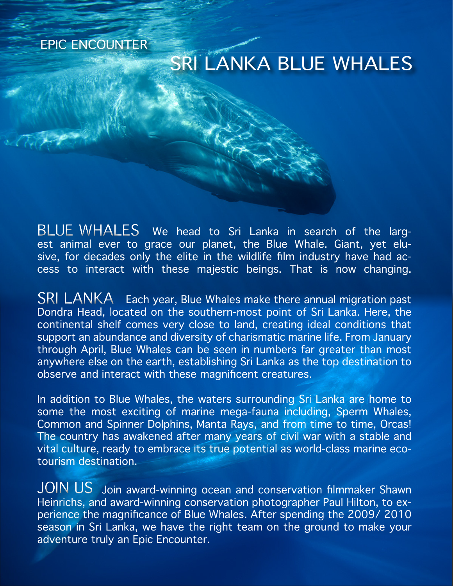EPIC ENCOUNTER

# SRI LANKA BLUE WHALES

BLUE WHALES We head to Sri Lanka in search of the largest animal ever to grace our planet, the Blue Whale. Giant, yet elusive, for decades only the elite in the wildlife film industry have had access to interact with these majestic beings. That is now changing.

 $SRI$   $LANKA$  Each year, Blue Whales make there annual migration past Dondra Head, located on the southern-most point of Sri Lanka. Here, the continental shelf comes very close to land, creating ideal conditions that support an abundance and diversity of charismatic marine life. From January through April, Blue Whales can be seen in numbers far greater than most anywhere else on the earth, establishing Sri Lanka as the top destination to observe and interact with these magnificent creatures.

In addition to Blue Whales, the waters surrounding Sri Lanka are home to some the most exciting of marine mega-fauna including, Sperm Whales, Common and Spinner Dolphins, Manta Rays, and from time to time, Orcas! The country has awakened after many years of civil war with a stable and vital culture, ready to embrace its true potential as world-class marine ecotourism destination.

 $\mathsf{JOIN} \:\mathsf{US}\:$  Join award-winning ocean and conservation filmmaker Shawn Heinrichs, and award-winning conservation photographer Paul Hilton, to experience the magnificance of Blue Whales. After spending the 2009/ 2010 season in Sri Lanka, we have the right team on the ground to make your adventure truly an Epic Encounter.